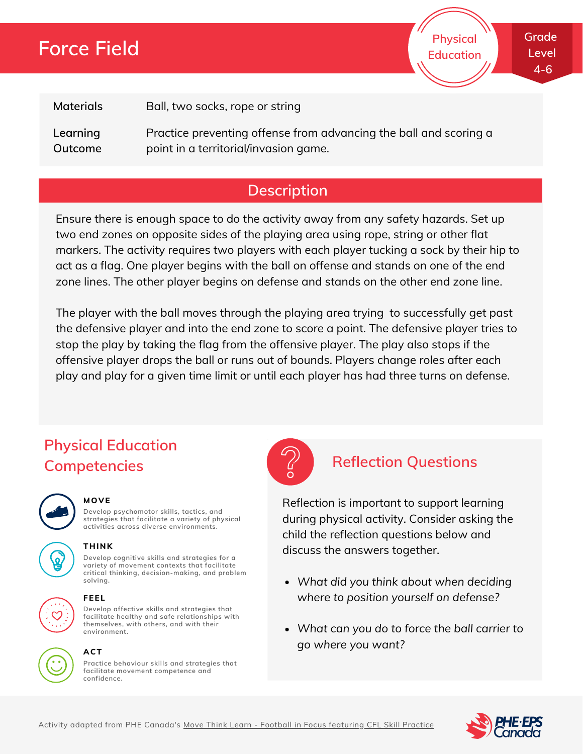# **Force Field**

**Physical Education** **Grade Level 4-6**

**Materials**

Ball, two socks, rope or string

**Learning Outcome** Practice preventing offense from advancing the ball and scoring a point in a territorial/invasion game.

## **Description**

Ensure there is enough space to do the activity away from any safety hazards. Set up two end zones on opposite sides of the playing area using rope, string or other flat markers. The activity requires two players with each player tucking a sock by their hip to act as a flag. One player begins with the ball on offense and stands on one of the end zone lines. The other player begins on defense and stands on the other end zone line.

The player with the ball moves through the playing area trying to successfully get past the defensive player and into the end zone to score a point. The defensive player tries to stop the play by taking the flag from the offensive player. The play also stops if the offensive player drops the ball or runs out of bounds. Players change roles after each play and play for a given time limit or until each player has had three turns on defense.

# **Physical Education Competencies Reflection Questions**



#### **MOVE**

**Develop psychomotor skills, tactics, and strategies that facilitate a variety of physical activities across diverse environments.**

**Develop cognitive skills and strategies for a variety of movement contexts that facilitate critical thinking, decision-making, and problem**





### **solving. FEEL**

**THINK**

**Develop affective skills and strategies that facilitate healthy and safe relationships with themselves, with others, and with their environment.**



## **ACT**

**Practice behaviour skills and strategies that facilitate movement competence and confidence.**



Reflection is important to support learning during physical activity. Consider asking the child the reflection questions below and discuss the answers together.

- *What did you think about when deciding where to position yourself on defense?*
- *What can you do to force the ball carrier to go where you want?*